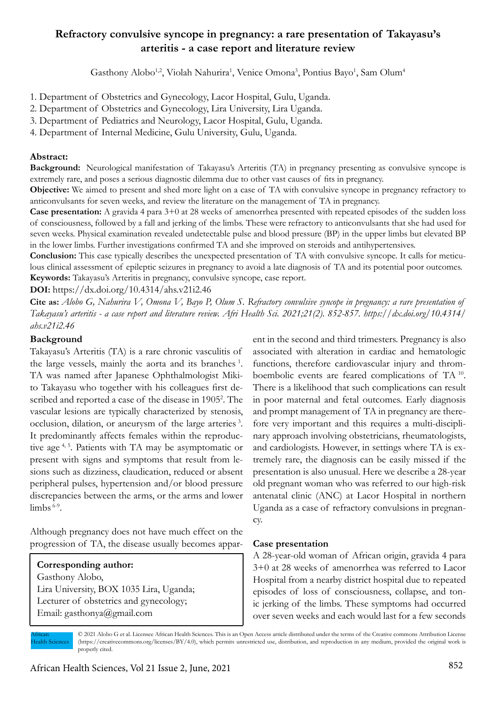# **Refractory convulsive syncope in pregnancy: a rare presentation of Takayasu's arteritis - a case report and literature review**

Gasthony Alobo<sup>1,2</sup>, Violah Nahurira<sup>1</sup>, Venice Omona<sup>3</sup>, Pontius Bayo<sup>1</sup>, Sam Olum<sup>4</sup>

1. Department of Obstetrics and Gynecology, Lacor Hospital, Gulu, Uganda.

- 2. Department of Obstetrics and Gynecology, Lira University, Lira Uganda.
- 3. Department of Pediatrics and Neurology, Lacor Hospital, Gulu, Uganda.

4. Department of Internal Medicine, Gulu University, Gulu, Uganda.

### **Abstract:**

**Background:** Neurological manifestation of Takayasu's Arteritis (TA) in pregnancy presenting as convulsive syncope is extremely rare, and poses a serious diagnostic dilemma due to other vast causes of fits in pregnancy.

**Objective:** We aimed to present and shed more light on a case of TA with convulsive syncope in pregnancy refractory to anticonvulsants for seven weeks, and review the literature on the management of TA in pregnancy.

**Case presentation:** A gravida 4 para 3+0 at 28 weeks of amenorrhea presented with repeated episodes of the sudden loss of consciousness, followed by a fall and jerking of the limbs. These were refractory to anticonvulsants that she had used for seven weeks. Physical examination revealed undetectable pulse and blood pressure (BP) in the upper limbs but elevated BP in the lower limbs. Further investigations confirmed TA and she improved on steroids and antihypertensives.

**Conclusion:** This case typically describes the unexpected presentation of TA with convulsive syncope. It calls for meticulous clinical assessment of epileptic seizures in pregnancy to avoid a late diagnosis of TA and its potential poor outcomes. **Keywords:** Takayasu's Arteritis in pregnancy, convulsive syncope, case report.

**DOI:** https://dx.doi.org/10.4314/ahs.v21i2.46

**Cite as:** *Alobo G, Nahurira V, Omona V, Bayo P, Olum S. Refractory convulsive syncope in pregnancy: a rare presentation of Takayasu's arteritis - a case report and literature review. Afri Health Sci. 2021;21(2). 852-857. https://dx.doi.org/10.4314/ ahs.v21i2.46*

### **Background**

Takayasu's Arteritis (TA) is a rare chronic vasculitis of the large vessels, mainly the aorta and its branches 1. TA was named after Japanese Ophthalmologist Mikito Takayasu who together with his colleagues first described and reported a case of the disease in 1905<sup>2</sup>. The vascular lesions are typically characterized by stenosis, occlusion, dilation, or aneurysm of the large arteries 3. It predominantly affects females within the reproductive age 4, 5. Patients with TA may be asymptomatic or present with signs and symptoms that result from lesions such as dizziness, claudication, reduced or absent peripheral pulses, hypertension and/or blood pressure discrepancies between the arms, or the arms and lower  $limbs$ <sup>6-9</sup>.

Although pregnancy does not have much effect on the progression of TA, the disease usually becomes appar-

# **Corresponding author:**

Gasthony Alobo, Lira University, BOX 1035 Lira, Uganda; Lecturer of obstetrics and gynecology; Email: gasthonya@gmail.com

ent in the second and third trimesters. Pregnancy is also associated with alteration in cardiac and hematologic functions, therefore cardiovascular injury and thromboembolic events are feared complications of TA 10. There is a likelihood that such complications can result in poor maternal and fetal outcomes. Early diagnosis and prompt management of TA in pregnancy are therefore very important and this requires a multi-disciplinary approach involving obstetricians, rheumatologists, and cardiologists. However, in settings where TA is extremely rare, the diagnosis can be easily missed if the presentation is also unusual. Here we describe a 28-year old pregnant woman who was referred to our high-risk antenatal clinic (ANC) at Lacor Hospital in northern Uganda as a case of refractory convulsions in pregnancy.

### **Case presentation**

A 28-year-old woman of African origin, gravida 4 para 3+0 at 28 weeks of amenorrhea was referred to Lacor Hospital from a nearby district hospital due to repeated episodes of loss of consciousness, collapse, and tonic jerking of the limbs. These symptoms had occurred over seven weeks and each would last for a few seconds

African Health Sciences © 2021 Alobo G et al. Licensee African Health Sciences. This is an Open Access article distributed under the terms of the Creative commons Attribution License (https://creativecommons.org/licenses/BY/4.0), which permits unrestricted use, distribution, and reproduction in any medium, provided the original work is properly cited.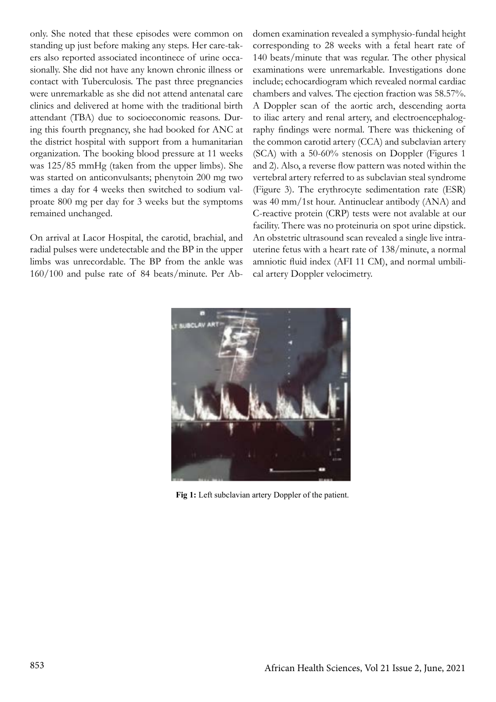only. She noted that these episodes were common on standing up just before making any steps. Her care-takers also reported associated incontinece of urine occasionally. She did not have any known chronic illness or contact with Tuberculosis. The past three pregnancies were unremarkable as she did not attend antenatal care clinics and delivered at home with the traditional birth attendant (TBA) due to socioeconomic reasons. During this fourth pregnancy, she had booked for ANC at the district hospital with support from a humanitarian organization. The booking blood pressure at 11 weeks was 125/85 mmHg (taken from the upper limbs). She was started on anticonvulsants; phenytoin 200 mg two times a day for 4 weeks then switched to sodium valproate 800 mg per day for 3 weeks but the symptoms remained unchanged.

On arrival at Lacor Hospital, the carotid, brachial, and radial pulses were undetectable and the BP in the upper limbs was unrecordable. The BP from the ankle was 160/100 and pulse rate of 84 beats/minute. Per Abdomen examination revealed a symphysio-fundal height corresponding to 28 weeks with a fetal heart rate of 140 beats/minute that was regular. The other physical examinations were unremarkable. Investigations done include; echocardiogram which revealed normal cardiac chambers and valves. The ejection fraction was 58.57%. A Doppler scan of the aortic arch, descending aorta to iliac artery and renal artery, and electroencephalography findings were normal. There was thickening of the common carotid artery (CCA) and subclavian artery (SCA) with a 50-60% stenosis on Doppler (Figures 1 and 2). Also, a reverse flow pattern was noted within the vertebral artery referred to as subclavian steal syndrome (Figure 3). The erythrocyte sedimentation rate (ESR) was 40 mm/1st hour. Antinuclear antibody (ANA) and C-reactive protein (CRP) tests were not avalable at our facility. There was no proteinuria on spot urine dipstick. An obstetric ultrasound scan revealed a single live intrauterine fetus with a heart rate of 138/minute, a normal amniotic fluid index (AFI 11 CM), and normal umbilical artery Doppler velocimetry.



 **Fig 1:** Left subclavian artery Doppler of the patient.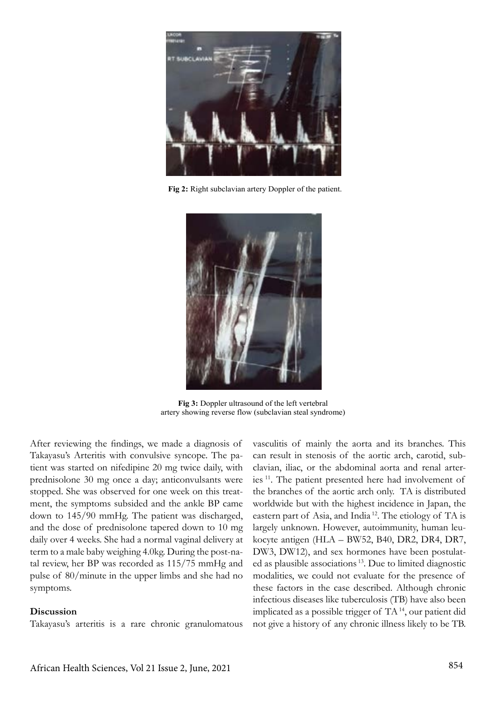

 **Fig 2:** Right subclavian artery Doppler of the patient.



**Fig 3:** Doppler ultrasound of the left vertebral artery showing reverse flow (subclavian steal syndrome)

After reviewing the findings, we made a diagnosis of Takayasu's Arteritis with convulsive syncope. The patient was started on nifedipine 20 mg twice daily, with prednisolone 30 mg once a day; anticonvulsants were stopped. She was observed for one week on this treatment, the symptoms subsided and the ankle BP came down to 145/90 mmHg. The patient was discharged, and the dose of prednisolone tapered down to 10 mg daily over 4 weeks. She had a normal vaginal delivery at term to a male baby weighing 4.0kg. During the post-natal review, her BP was recorded as 115/75 mmHg and pulse of 80/minute in the upper limbs and she had no symptoms.

#### **Discussion**

Takayasu's arteritis is a rare chronic granulomatous

vasculitis of mainly the aorta and its branches. This can result in stenosis of the aortic arch, carotid, subclavian, iliac, or the abdominal aorta and renal arteries 11. The patient presented here had involvement of the branches of the aortic arch only. TA is distributed worldwide but with the highest incidence in Japan, the eastern part of Asia, and India 12. The etiology of TA is largely unknown. However, autoimmunity, human leukocyte antigen (HLA – BW52, B40, DR2, DR4, DR7, DW3, DW12), and sex hormones have been postulated as plausible associations 13. Due to limited diagnostic modalities, we could not evaluate for the presence of these factors in the case described. Although chronic infectious diseases like tuberculosis (TB) have also been implicated as a possible trigger of TA 14, our patient did not give a history of any chronic illness likely to be TB.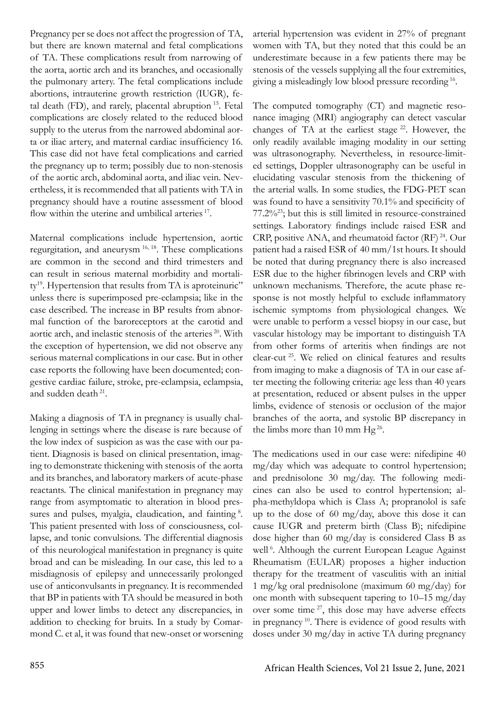Pregnancy per se does not affect the progression of TA, but there are known maternal and fetal complications of TA. These complications result from narrowing of the aorta, aortic arch and its branches, and occasionally the pulmonary artery. The fetal complications include abortions, intrauterine growth restriction (IUGR), fetal death (FD), and rarely, placental abruption 15. Fetal complications are closely related to the reduced blood supply to the uterus from the narrowed abdominal aorta or iliac artery, and maternal cardiac insufficiency 16. This case did not have fetal complications and carried the pregnancy up to term; possibly due to non-stenosis of the aortic arch, abdominal aorta, and iliac vein. Nevertheless, it is recommended that all patients with TA in pregnancy should have a routine assessment of blood flow within the uterine and umbilical arteries <sup>17</sup>.

Maternal complications include hypertension, aortic regurgitation, and aneurysm 16, 18. These complications are common in the second and third trimesters and can result in serious maternal morbidity and mortality<sup>19</sup>. Hypertension that results from TA is aproteinuric" unless there is superimposed pre-eclampsia; like in the case described. The increase in BP results from abnormal function of the baroreceptors at the carotid and aortic arch, and inelastic stenosis of the arteries<sup>20</sup>. With the exception of hypertension, we did not observe any serious maternal complications in our case. But in other case reports the following have been documented; congestive cardiac failure, stroke, pre-eclampsia, eclampsia, and sudden death 21.

Making a diagnosis of TA in pregnancy is usually challenging in settings where the disease is rare because of the low index of suspicion as was the case with our patient. Diagnosis is based on clinical presentation, imaging to demonstrate thickening with stenosis of the aorta and its branches, and laboratory markers of acute-phase reactants. The clinical manifestation in pregnancy may range from asymptomatic to alteration in blood pressures and pulses, myalgia, claudication, and fainting <sup>8</sup>. This patient presented with loss of consciousness, collapse, and tonic convulsions. The differential diagnosis of this neurological manifestation in pregnancy is quite broad and can be misleading. In our case, this led to a misdiagnosis of epilepsy and unnecessarily prolonged use of anticonvulsants in pregnancy. It is recommended that BP in patients with TA should be measured in both upper and lower limbs to detect any discrepancies, in addition to checking for bruits. In a study by Comarmond C. et al, it was found that new-onset or worsening arterial hypertension was evident in 27% of pregnant women with TA, but they noted that this could be an underestimate because in a few patients there may be stenosis of the vessels supplying all the four extremities, giving a misleadingly low blood pressure recording 16.

The computed tomography (CT) and magnetic resonance imaging (MRI) angiography can detect vascular changes of TA at the earliest stage  $22$ . However, the only readily available imaging modality in our setting was ultrasonography. Nevertheless, in resource-limited settings, Doppler ultrasonography can be useful in elucidating vascular stenosis from the thickening of the arterial walls. In some studies, the FDG-PET scan was found to have a sensitivity 70.1% and specificity of 77.2%23; but this is still limited in resource-constrained settings. Laboratory findings include raised ESR and CRP, positive ANA, and rheumatoid factor (RF) 24. Our patient had a raised ESR of 40 mm/1st hours. It should be noted that during pregnancy there is also increased ESR due to the higher fibrinogen levels and CRP with unknown mechanisms. Therefore, the acute phase response is not mostly helpful to exclude inflammatory ischemic symptoms from physiological changes. We were unable to perform a vessel biopsy in our case, but vascular histology may be important to distinguish TA from other forms of arteritis when findings are not clear-cut 25. We relied on clinical features and results from imaging to make a diagnosis of TA in our case after meeting the following criteria: age less than 40 years at presentation, reduced or absent pulses in the upper limbs, evidence of stenosis or occlusion of the major branches of the aorta, and systolic BP discrepancy in the limbs more than 10 mm  $Hg^{26}$ .

The medications used in our case were: nifedipine 40 mg/day which was adequate to control hypertension; and prednisolone 30 mg/day. The following medicines can also be used to control hypertension; alpha-methyldopa which is Class A; propranolol is safe up to the dose of 60 mg/day, above this dose it can cause IUGR and preterm birth (Class B); nifedipine dose higher than 60 mg/day is considered Class B as well<sup>6</sup>. Although the current European League Against Rheumatism (EULAR) proposes a higher induction therapy for the treatment of vasculitis with an initial 1 mg/kg oral prednisolone (maximum 60 mg/day) for one month with subsequent tapering to 10–15 mg/day over some time  $27$ , this dose may have adverse effects in pregnancy 10. There is evidence of good results with doses under 30 mg/day in active TA during pregnancy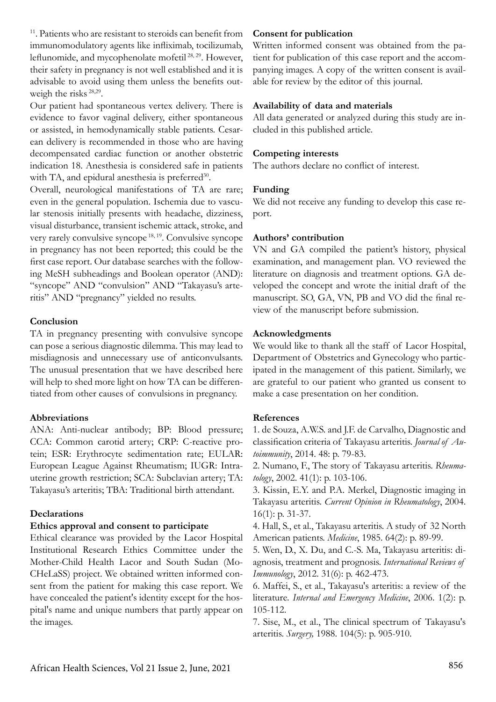<sup>11</sup>. Patients who are resistant to steroids can benefit from immunomodulatory agents like infliximab, tocilizumab, leflunomide, and mycophenolate mofetil 28, 29. However, their safety in pregnancy is not well established and it is advisable to avoid using them unless the benefits outweigh the risks<sup>28,29</sup>.

Our patient had spontaneous vertex delivery. There is evidence to favor vaginal delivery, either spontaneous or assisted, in hemodynamically stable patients. Cesarean delivery is recommended in those who are having decompensated cardiac function or another obstetric indication 18. Anesthesia is considered safe in patients with TA, and epidural anesthesia is preferred<sup>30</sup>.

Overall, neurological manifestations of TA are rare; even in the general population. Ischemia due to vascular stenosis initially presents with headache, dizziness, visual disturbance, transient ischemic attack, stroke, and very rarely convulsive syncope 18, 19. Convulsive syncope in pregnancy has not been reported; this could be the first case report. Our database searches with the following MeSH subheadings and Boolean operator (AND): "syncope" AND "convulsion" AND "Takayasu's arteritis" AND "pregnancy" yielded no results.

### **Conclusion**

TA in pregnancy presenting with convulsive syncope can pose a serious diagnostic dilemma. This may lead to misdiagnosis and unnecessary use of anticonvulsants. The unusual presentation that we have described here will help to shed more light on how TA can be differentiated from other causes of convulsions in pregnancy.

### **Abbreviations**

ANA: Anti-nuclear antibody; BP: Blood pressure; CCA: Common carotid artery; CRP: C-reactive protein; ESR: Erythrocyte sedimentation rate; EULAR: European League Against Rheumatism; IUGR: Intrauterine growth restriction; SCA: Subclavian artery; TA: Takayasu's arteritis; TBA: Traditional birth attendant.

# **Declarations**

# **Ethics approval and consent to participate**

Ethical clearance was provided by the Lacor Hospital Institutional Research Ethics Committee under the Mother-Child Health Lacor and South Sudan (Mo-CHeLaSS) project. We obtained written informed consent from the patient for making this case report. We have concealed the patient's identity except for the hospital's name and unique numbers that partly appear on the images.

# **Consent for publication**

Written informed consent was obtained from the patient for publication of this case report and the accompanying images. A copy of the written consent is available for review by the editor of this journal.

## **Availability of data and materials**

All data generated or analyzed during this study are included in this published article.

# **Competing interests**

The authors declare no conflict of interest.

### **Funding**

We did not receive any funding to develop this case report.

# **Authors' contribution**

VN and GA compiled the patient's history, physical examination, and management plan. VO reviewed the literature on diagnosis and treatment options. GA developed the concept and wrote the initial draft of the manuscript. SO, GA, VN, PB and VO did the final review of the manuscript before submission.

# **Acknowledgments**

We would like to thank all the staff of Lacor Hospital, Department of Obstetrics and Gynecology who participated in the management of this patient. Similarly, we are grateful to our patient who granted us consent to make a case presentation on her condition.

### **References**

1. de Souza, A.W.S. and J.F. de Carvalho, Diagnostic and classification criteria of Takayasu arteritis. *Journal of Autoimmunity*, 2014. 48: p. 79-83.

2. Numano, F., The story of Takayasu arteritis. *Rheumatology*, 2002. 41(1): p. 103-106.

3. Kissin, E.Y. and P.A. Merkel, Diagnostic imaging in Takayasu arteritis. *Current Opinion in Rheumatology*, 2004. 16(1): p. 31-37.

4. Hall, S., et al., Takayasu arteritis. A study of 32 North American patients. *Medicine*, 1985. 64(2): p. 89-99.

5. Wen, D., X. Du, and C.-S. Ma, Takayasu arteritis: diagnosis, treatment and prognosis. *International Reviews of Immunology*, 2012. 31(6): p. 462-473.

6. Maffei, S., et al., Takayasu's arteritis: a review of the literature. *Internal and Emergency Medicine*, 2006. 1(2): p. 105-112.

7. Sise, M., et al., The clinical spectrum of Takayasu's arteritis. *Surgery,* 1988. 104(5): p. 905-910.